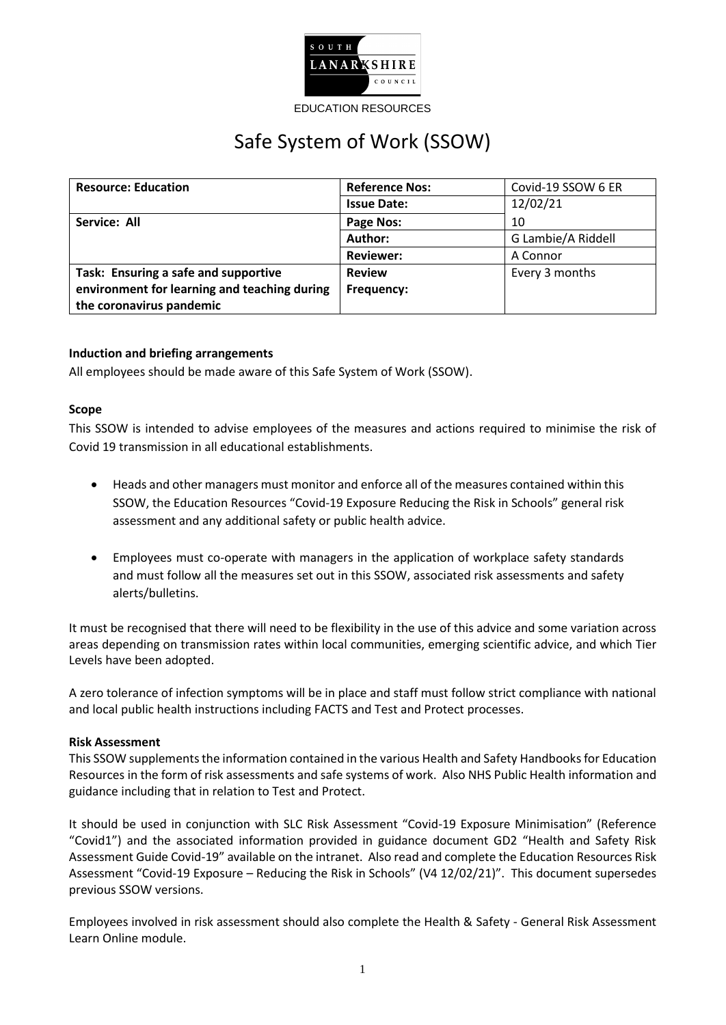

EDUCATION RESOURCES

# Safe System of Work (SSOW)

| <b>Resource: Education</b>                   | <b>Reference Nos:</b> | Covid-19 SSOW 6 ER |
|----------------------------------------------|-----------------------|--------------------|
|                                              | <b>Issue Date:</b>    | 12/02/21           |
| Service: All                                 | Page Nos:             | 10                 |
|                                              | Author:               | G Lambie/A Riddell |
|                                              | <b>Reviewer:</b>      | A Connor           |
| Task: Ensuring a safe and supportive         | <b>Review</b>         | Every 3 months     |
| environment for learning and teaching during | Frequency:            |                    |
| the coronavirus pandemic                     |                       |                    |

## **Induction and briefing arrangements**

All employees should be made aware of this Safe System of Work (SSOW).

#### **Scope**

This SSOW is intended to advise employees of the measures and actions required to minimise the risk of Covid 19 transmission in all educational establishments.

- Heads and other managers must monitor and enforce all of the measures contained within this SSOW, the Education Resources "Covid-19 Exposure Reducing the Risk in Schools" general risk assessment and any additional safety or public health advice.
- Employees must co-operate with managers in the application of workplace safety standards and must follow all the measures set out in this SSOW, associated risk assessments and safety alerts/bulletins.

It must be recognised that there will need to be flexibility in the use of this advice and some variation across areas depending on transmission rates within local communities, emerging scientific advice, and which Tier Levels have been adopted.

A zero tolerance of infection symptoms will be in place and staff must follow strict compliance with national and local public health instructions including FACTS and Test and Protect processes.

#### **Risk Assessment**

This SSOW supplements the information contained in the various Health and Safety Handbooksfor Education Resources in the form of risk assessments and safe systems of work. Also NHS Public Health information and guidance including that in relation to Test and Protect.

It should be used in conjunction with SLC Risk Assessment "Covid-19 Exposure Minimisation" (Reference "Covid1") and the associated information provided in guidance document GD2 "Health and Safety Risk Assessment Guide Covid-19" available on the intranet. Also read and complete the Education Resources Risk Assessment "Covid-19 Exposure – Reducing the Risk in Schools" (V4 12/02/21)". This document supersedes previous SSOW versions.

Employees involved in risk assessment should also complete the Health & Safety - General Risk Assessment Learn Online module.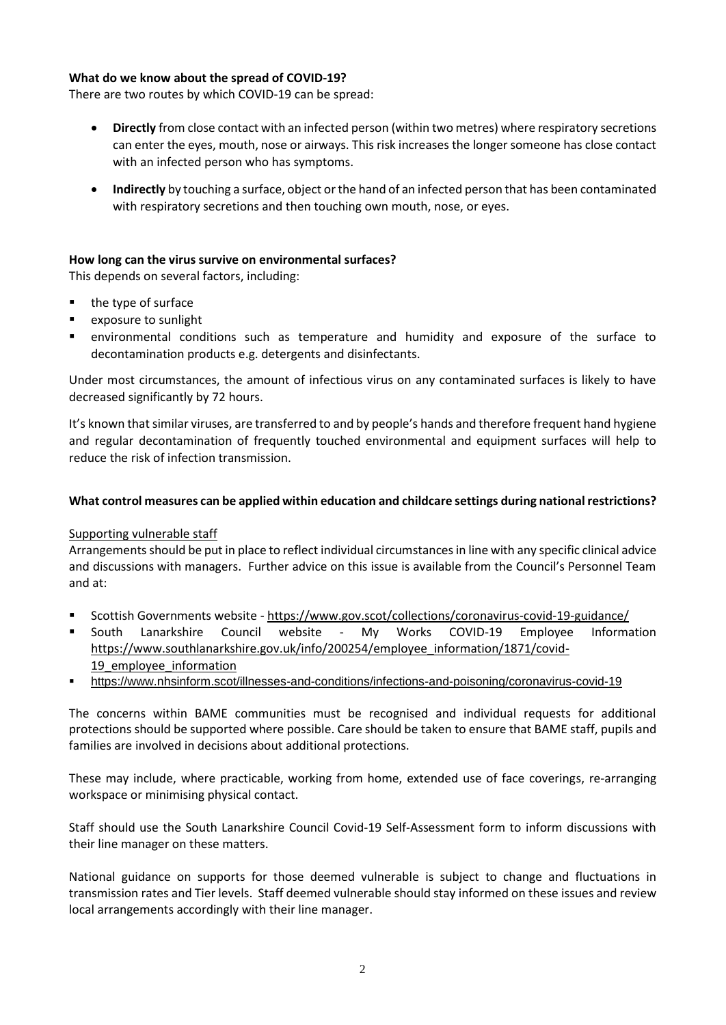## **What do we know about the spread of COVID-19?**

There are two routes by which COVID-19 can be spread:

- **Directly** from close contact with an infected person (within two metres) where respiratory secretions can enter the eyes, mouth, nose or airways. This risk increases the longer someone has close contact with an infected person who has symptoms.
- **Indirectly** by touching a surface, object or the hand of an infected person that has been contaminated with respiratory secretions and then touching own mouth, nose, or eyes.

## **How long can the virus survive on environmental surfaces?**

This depends on several factors, including:

- $\blacksquare$  the type of surface
- **E** exposure to sunlight
- environmental conditions such as temperature and humidity and exposure of the surface to decontamination products e.g. detergents and disinfectants.

Under most circumstances, the amount of infectious virus on any contaminated surfaces is likely to have decreased significantly by 72 hours.

It's known that similar viruses, are transferred to and by people's hands and therefore frequent hand hygiene and regular decontamination of frequently touched environmental and equipment surfaces will help to reduce the risk of infection transmission.

## **What control measures can be applied within education and childcare settings during national restrictions?**

#### Supporting vulnerable staff

Arrangements should be put in place to reflect individual circumstances in line with any specific clinical advice and discussions with managers. Further advice on this issue is available from the Council's Personnel Team and at:

- Scottish Governments website <https://www.gov.scot/collections/coronavirus-covid-19-guidance/>
- **South Lanarkshire Council website My Works COVID-19 Employee Information** [https://www.southlanarkshire.gov.uk/info/200254/employee\\_information/1871/covid-](https://www.southlanarkshire.gov.uk/info/200254/employee_information/1871/covid-19_employee_information)19 employee information
- <https://www.nhsinform.scot/illnesses-and-conditions/infections-and-poisoning/coronavirus-covid-19>

The concerns within BAME communities must be recognised and individual requests for additional protections should be supported where possible. Care should be taken to ensure that BAME staff, pupils and families are involved in decisions about additional protections.

These may include, where practicable, working from home, extended use of face coverings, re-arranging workspace or minimising physical contact.

Staff should use the South Lanarkshire Council Covid-19 Self-Assessment form to inform discussions with their line manager on these matters.

National guidance on supports for those deemed vulnerable is subject to change and fluctuations in transmission rates and Tier levels. Staff deemed vulnerable should stay informed on these issues and review local arrangements accordingly with their line manager.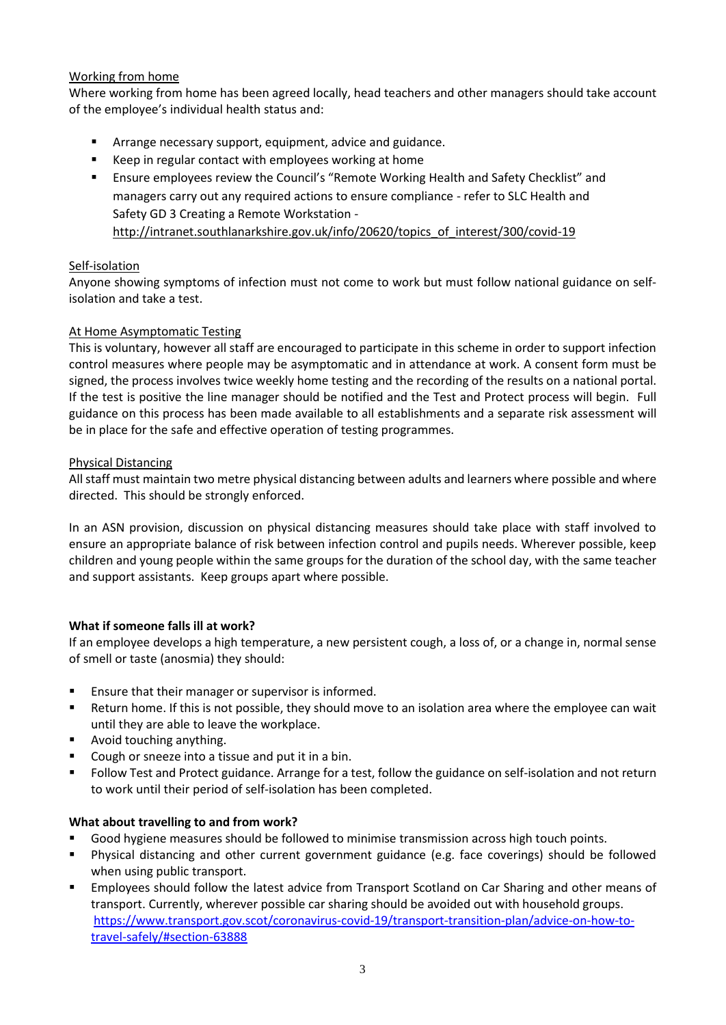# Working from home

Where working from home has been agreed locally, head teachers and other managers should take account of the employee's individual health status and:

- Arrange necessary support, equipment, advice and guidance.
- Keep in regular contact with employees working at home
- Ensure employees review the Council's "Remote Working Health and Safety Checklist" and managers carry out any required actions to ensure compliance - refer to SLC Health and Safety GD 3 Creating a Remote Workstation [http://intranet.southlanarkshire.gov.uk/info/20620/topics\\_of\\_interest/300/covid-19](http://intranet.southlanarkshire.gov.uk/info/20620/topics_of_interest/300/covid-19)

## Self-isolation

Anyone showing symptoms of infection must not come to work but must follow national guidance on selfisolation and take a test.

## At Home Asymptomatic Testing

This is voluntary, however all staff are encouraged to participate in this scheme in order to support infection control measures where people may be asymptomatic and in attendance at work. A consent form must be signed, the process involves twice weekly home testing and the recording of the results on a national portal. If the test is positive the line manager should be notified and the Test and Protect process will begin. Full guidance on this process has been made available to all establishments and a separate risk assessment will be in place for the safe and effective operation of testing programmes.

## Physical Distancing

All staff must maintain two metre physical distancing between adults and learners where possible and where directed. This should be strongly enforced.

In an ASN provision, discussion on physical distancing measures should take place with staff involved to ensure an appropriate balance of risk between infection control and pupils needs. Wherever possible, keep children and young people within the same groups for the duration of the school day, with the same teacher and support assistants. Keep groups apart where possible.

# **What if someone falls ill at work?**

If an employee develops a high temperature, a new persistent cough, a loss of, or a change in, normal sense of smell or taste (anosmia) they should:

- Ensure that their manager or supervisor is informed.
- Return home. If this is not possible, they should move to an isolation area where the employee can wait until they are able to leave the workplace.
- **Avoid touching anything.**
- **Cough or sneeze into a tissue and put it in a bin.**
- Follow Test and Protect guidance. Arrange for a test, follow the guidance on self-isolation and not return to work until their period of self-isolation has been completed.

#### **What about travelling to and from work?**

- Good hygiene measures should be followed to minimise transmission across high touch points.
- Physical distancing and other current government guidance (e.g. face coverings) should be followed when using public transport.
- Employees should follow the latest advice from Transport Scotland on Car Sharing and other means of transport. Currently, wherever possible car sharing should be avoided out with household groups. [https://www.transport.gov.scot/coronavirus-covid-19/transport-transition-plan/advice-on-how-to](https://www.transport.gov.scot/coronavirus-covid-19/transport-transition-plan/advice-on-how-to-travel-safely/#section-63888)[travel-safely/#section-63888](https://www.transport.gov.scot/coronavirus-covid-19/transport-transition-plan/advice-on-how-to-travel-safely/#section-63888)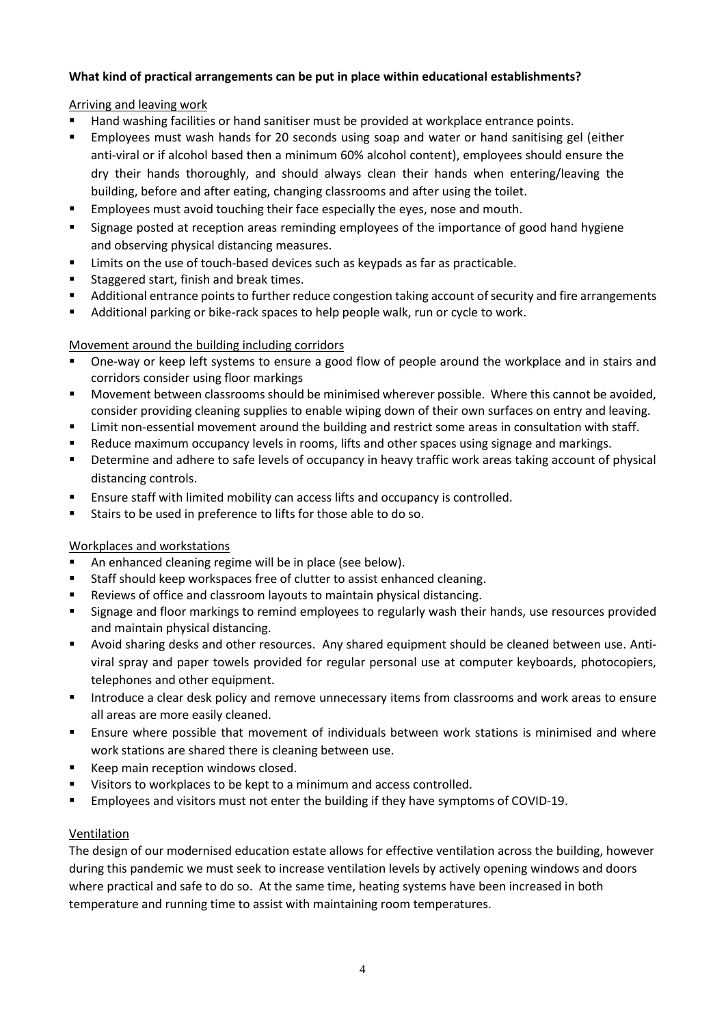# **What kind of practical arrangements can be put in place within educational establishments?**

# Arriving and leaving work

- Hand washing facilities or hand sanitiser must be provided at workplace entrance points.
- Employees must wash hands for 20 seconds using soap and water or hand sanitising gel (either anti-viral or if alcohol based then a minimum 60% alcohol content), employees should ensure the dry their hands thoroughly, and should always clean their hands when entering/leaving the building, before and after eating, changing classrooms and after using the toilet.
- Employees must avoid touching their face especially the eyes, nose and mouth.
- Signage posted at reception areas reminding employees of the importance of good hand hygiene and observing physical distancing measures.
- **EXECT** Limits on the use of touch-based devices such as keypads as far as practicable.
- **Staggered start, finish and break times.**
- Additional entrance points to further reduce congestion taking account of security and fire arrangements
- Additional parking or bike-rack spaces to help people walk, run or cycle to work.

# Movement around the building including corridors

- One-way or keep left systems to ensure a good flow of people around the workplace and in stairs and corridors consider using floor markings
- Movement between classrooms should be minimised wherever possible. Where this cannot be avoided, consider providing cleaning supplies to enable wiping down of their own surfaces on entry and leaving.
- **EXECT** Limit non-essential movement around the building and restrict some areas in consultation with staff.
- Reduce maximum occupancy levels in rooms, lifts and other spaces using signage and markings.
- **Determine and adhere to safe levels of occupancy in heavy traffic work areas taking account of physical** distancing controls.
- Ensure staff with limited mobility can access lifts and occupancy is controlled.
- Stairs to be used in preference to lifts for those able to do so.

# Workplaces and workstations

- An enhanced cleaning regime will be in place (see below).
- Staff should keep workspaces free of clutter to assist enhanced cleaning.
- Reviews of office and classroom layouts to maintain physical distancing.
- **Signage and floor markings to remind employees to regularly wash their hands, use resources provided** and maintain physical distancing.
- Avoid sharing desks and other resources. Any shared equipment should be cleaned between use. Antiviral spray and paper towels provided for regular personal use at computer keyboards, photocopiers, telephones and other equipment.
- Introduce a clear desk policy and remove unnecessary items from classrooms and work areas to ensure all areas are more easily cleaned.
- **Ensure where possible that movement of individuals between work stations is minimised and where** work stations are shared there is cleaning between use.
- Keep main reception windows closed.
- **Visitors to workplaces to be kept to a minimum and access controlled.**
- Employees and visitors must not enter the building if they have symptoms of COVID-19.

# Ventilation

The design of our modernised education estate allows for effective ventilation across the building, however during this pandemic we must seek to increase ventilation levels by actively opening windows and doors where practical and safe to do so. At the same time, heating systems have been increased in both temperature and running time to assist with maintaining room temperatures.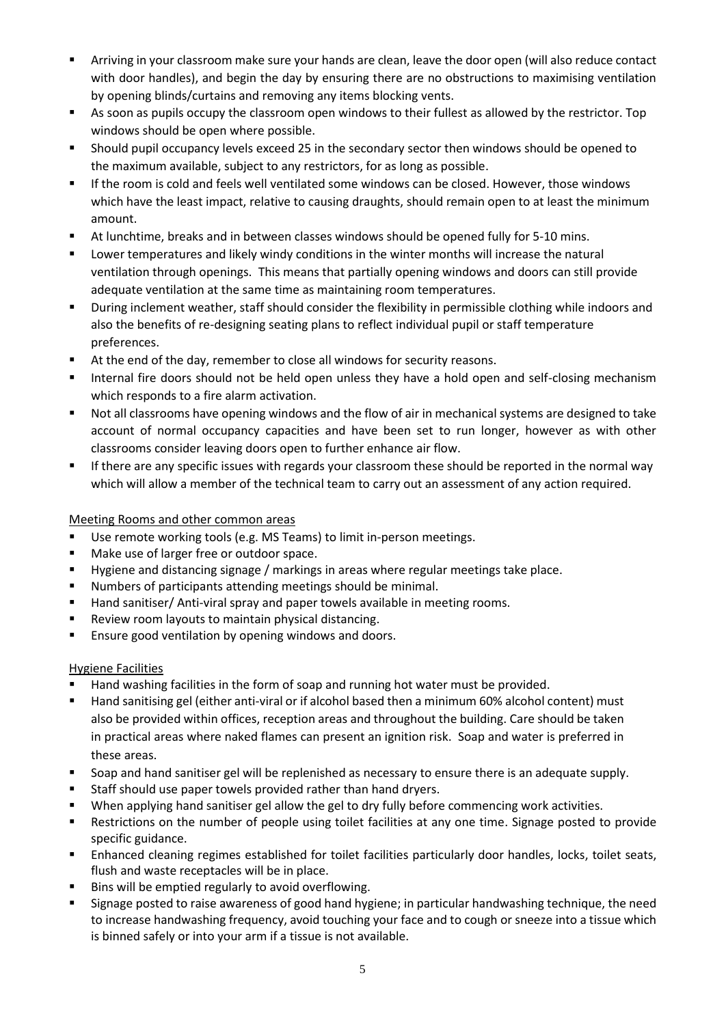- Arriving in your classroom make sure your hands are clean, leave the door open (will also reduce contact with door handles), and begin the day by ensuring there are no obstructions to maximising ventilation by opening blinds/curtains and removing any items blocking vents.
- As soon as pupils occupy the classroom open windows to their fullest as allowed by the restrictor. Top windows should be open where possible.
- Should pupil occupancy levels exceed 25 in the secondary sector then windows should be opened to the maximum available, subject to any restrictors, for as long as possible.
- If the room is cold and feels well ventilated some windows can be closed. However, those windows which have the least impact, relative to causing draughts, should remain open to at least the minimum amount.
- At lunchtime, breaks and in between classes windows should be opened fully for 5-10 mins.
- Lower temperatures and likely windy conditions in the winter months will increase the natural ventilation through openings. This means that partially opening windows and doors can still provide adequate ventilation at the same time as maintaining room temperatures.
- During inclement weather, staff should consider the flexibility in permissible clothing while indoors and also the benefits of re-designing seating plans to reflect individual pupil or staff temperature preferences.
- At the end of the day, remember to close all windows for security reasons.
- Internal fire doors should not be held open unless they have a hold open and self-closing mechanism which responds to a fire alarm activation.
- Not all classrooms have opening windows and the flow of air in mechanical systems are designed to take account of normal occupancy capacities and have been set to run longer, however as with other classrooms consider leaving doors open to further enhance air flow.
- If there are any specific issues with regards your classroom these should be reported in the normal way which will allow a member of the technical team to carry out an assessment of any action required.

# Meeting Rooms and other common areas

- Use remote working tools (e.g. MS Teams) to limit in-person meetings.
- Make use of larger free or outdoor space.
- Hygiene and distancing signage / markings in areas where regular meetings take place.
- Numbers of participants attending meetings should be minimal.
- Hand sanitiser/ Anti-viral spray and paper towels available in meeting rooms.
- Review room layouts to maintain physical distancing.
- **Ensure good ventilation by opening windows and doors.**

# Hygiene Facilities

- Hand washing facilities in the form of soap and running hot water must be provided.
- Hand sanitising gel (either anti-viral or if alcohol based then a minimum 60% alcohol content) must also be provided within offices, reception areas and throughout the building. Care should be taken in practical areas where naked flames can present an ignition risk. Soap and water is preferred in these areas.
- Soap and hand sanitiser gel will be replenished as necessary to ensure there is an adequate supply.
- Staff should use paper towels provided rather than hand dryers.
- When applying hand sanitiser gel allow the gel to dry fully before commencing work activities.
- Restrictions on the number of people using toilet facilities at any one time. Signage posted to provide specific guidance.
- Enhanced cleaning regimes established for toilet facilities particularly door handles, locks, toilet seats, flush and waste receptacles will be in place.
- Bins will be emptied regularly to avoid overflowing.
- Signage posted to raise awareness of good hand hygiene; in particular handwashing technique, the need to increase handwashing frequency, avoid touching your face and to cough or sneeze into a tissue which is binned safely or into your arm if a tissue is not available.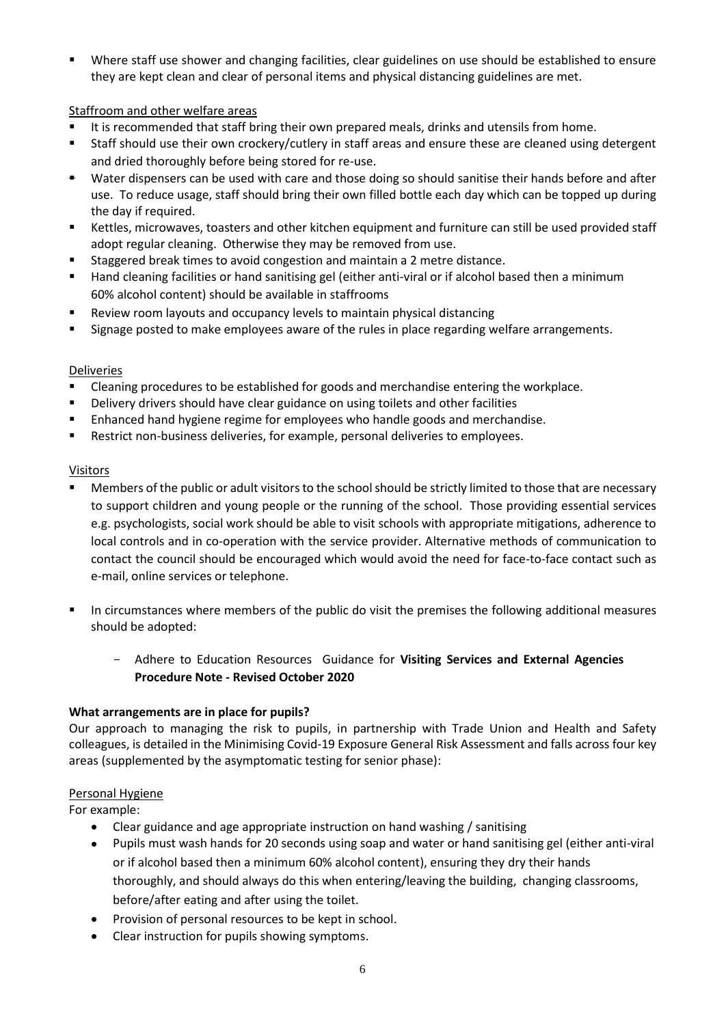Where staff use shower and changing facilities, clear guidelines on use should be established to ensure they are kept clean and clear of personal items and physical distancing guidelines are met.

# Staffroom and other welfare areas

- It is recommended that staff bring their own prepared meals, drinks and utensils from home.
- Staff should use their own crockery/cutlery in staff areas and ensure these are cleaned using detergent and dried thoroughly before being stored for re-use.
- \* Water dispensers can be used with care and those doing so should sanitise their hands before and after use. To reduce usage, staff should bring their own filled bottle each day which can be topped up during the day if required.
- Kettles, microwaves, toasters and other kitchen equipment and furniture can still be used provided staff adopt regular cleaning. Otherwise they may be removed from use.
- Staggered break times to avoid congestion and maintain a 2 metre distance.
- Hand cleaning facilities or hand sanitising gel (either anti-viral or if alcohol based then a minimum 60% alcohol content) should be available in staffrooms
- Review room layouts and occupancy levels to maintain physical distancing
- Signage posted to make employees aware of the rules in place regarding welfare arrangements.

# Deliveries

- Cleaning procedures to be established for goods and merchandise entering the workplace.
- Delivery drivers should have clear guidance on using toilets and other facilities
- Enhanced hand hygiene regime for employees who handle goods and merchandise.
- **Restrict non-business deliveries, for example, personal deliveries to employees.**

#### Visitors

- Members of the public or adult visitors to the school should be strictly limited to those that are necessary to support children and young people or the running of the school. Those providing essential services e.g. psychologists, social work should be able to visit schools with appropriate mitigations, adherence to local controls and in co-operation with the service provider. Alternative methods of communication to contact the council should be encouraged which would avoid the need for face-to-face contact such as e-mail, online services or telephone.
- In circumstances where members of the public do visit the premises the following additional measures should be adopted:
	- Adhere to Education Resources Guidance for **Visiting Services and External Agencies Procedure Note - Revised October 2020**

# **What arrangements are in place for pupils?**

Our approach to managing the risk to pupils, in partnership with Trade Union and Health and Safety colleagues, is detailed in the Minimising Covid-19 Exposure General Risk Assessment and falls across four key areas (supplemented by the asymptomatic testing for senior phase):

# Personal Hygiene

For example:

- Clear guidance and age appropriate instruction on hand washing / sanitising
- Pupils must wash hands for 20 seconds using soap and water or hand sanitising gel (either anti-viral or if alcohol based then a minimum 60% alcohol content), ensuring they dry their hands thoroughly, and should always do this when entering/leaving the building, changing classrooms, before/after eating and after using the toilet.
- Provision of personal resources to be kept in school.
- Clear instruction for pupils showing symptoms.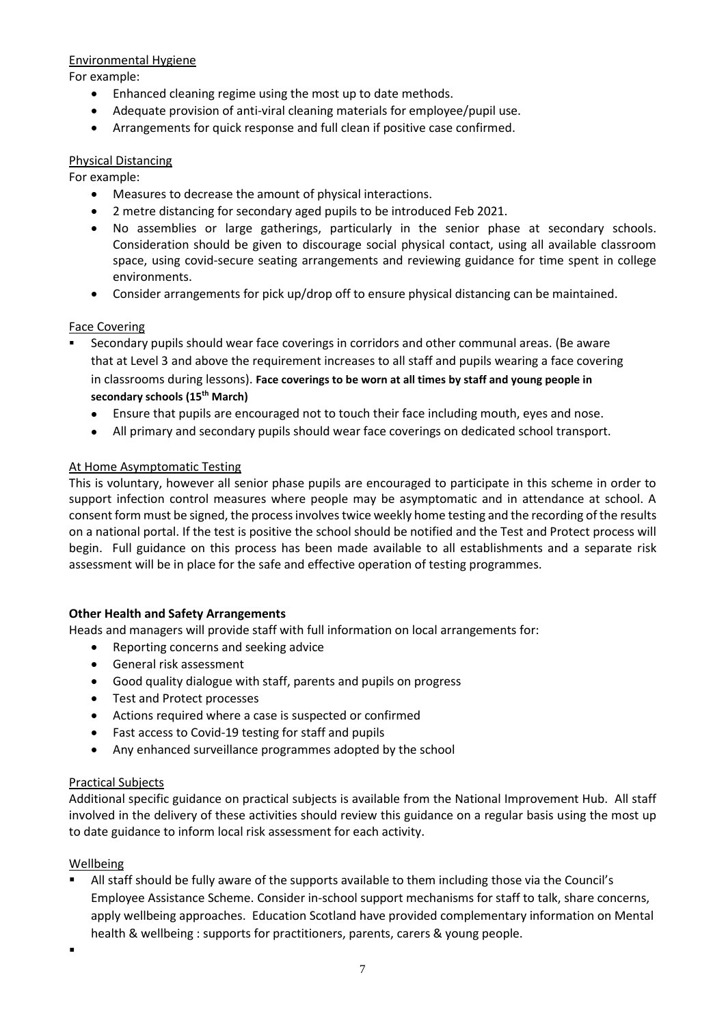## Environmental Hygiene

For example:

- Enhanced cleaning regime using the most up to date methods.
- Adequate provision of anti-viral cleaning materials for employee/pupil use.
- Arrangements for quick response and full clean if positive case confirmed.

## Physical Distancing

For example:

- Measures to decrease the amount of physical interactions.
- 2 metre distancing for secondary aged pupils to be introduced Feb 2021.
- No assemblies or large gatherings, particularly in the senior phase at secondary schools. Consideration should be given to discourage social physical contact, using all available classroom space, using covid-secure seating arrangements and reviewing guidance for time spent in college environments.
- Consider arrangements for pick up/drop off to ensure physical distancing can be maintained.

# Face Covering

- Secondary pupils should wear face coverings in corridors and other communal areas. (Be aware that at Level 3 and above the requirement increases to all staff and pupils wearing a face covering in classrooms during lessons). **Face coverings to be worn at all times by staff and young people in secondary schools (15th March)** 
	- Ensure that pupils are encouraged not to touch their face including mouth, eyes and nose.
	- All primary and secondary pupils should wear face coverings on dedicated school transport.

# At Home Asymptomatic Testing

This is voluntary, however all senior phase pupils are encouraged to participate in this scheme in order to support infection control measures where people may be asymptomatic and in attendance at school. A consent form must be signed, the process involves twice weekly home testing and the recording of the results on a national portal. If the test is positive the school should be notified and the Test and Protect process will begin. Full guidance on this process has been made available to all establishments and a separate risk assessment will be in place for the safe and effective operation of testing programmes.

# **Other Health and Safety Arrangements**

Heads and managers will provide staff with full information on local arrangements for:

- Reporting concerns and seeking advice
- General risk assessment
- Good quality dialogue with staff, parents and pupils on progress
- Test and Protect processes
- Actions required where a case is suspected or confirmed
- Fast access to Covid-19 testing for staff and pupils
- Any enhanced surveillance programmes adopted by the school

#### Practical Subjects

Additional specific guidance on practical subjects is available from the National Improvement Hub. All staff involved in the delivery of these activities should review this guidance on a regular basis using the most up to date guidance to inform local risk assessment for each activity.

# Wellbeing

 All staff should be fully aware of the supports available to them including those via the Council's Employee Assistance Scheme. Consider in-school support mechanisms for staff to talk, share concerns, apply wellbeing approaches. Education Scotland have provided complementary information on Mental health & wellbeing : supports for practitioners, parents, carers & young people.

.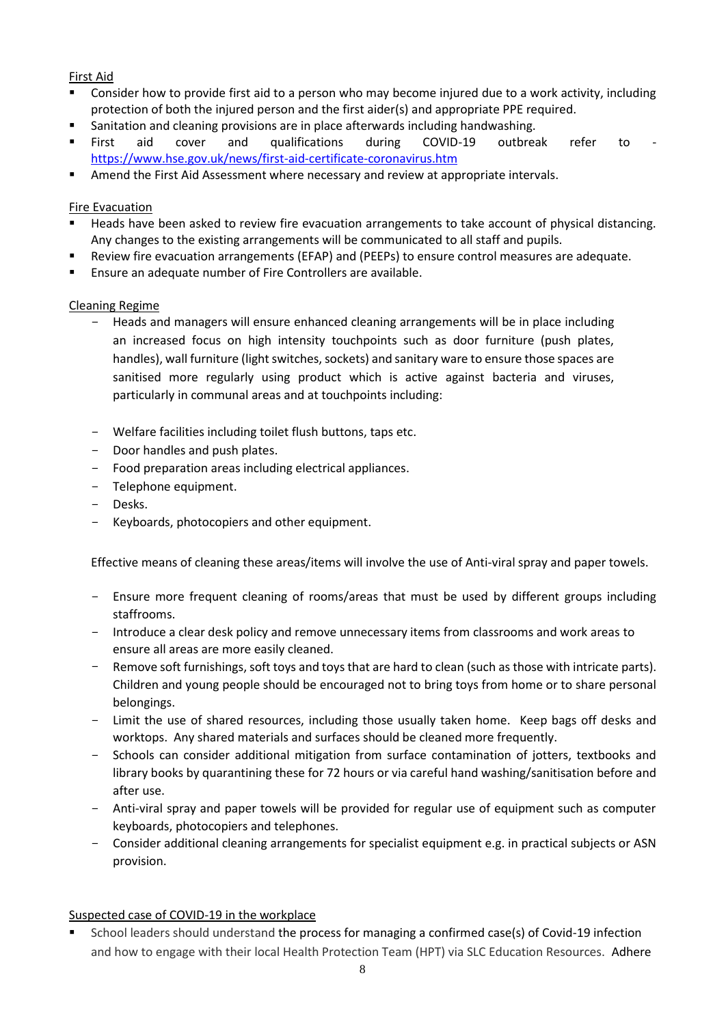# First Aid

- Consider how to provide first aid to a person who may become injured due to a work activity, including protection of both the injured person and the first aider(s) and appropriate PPE required.
- Sanitation and cleaning provisions are in place afterwards including handwashing.
- First aid cover and qualifications during COVID-19 outbreak refer to <https://www.hse.gov.uk/news/first-aid-certificate-coronavirus.htm>
- **Amend the First Aid Assessment where necessary and review at appropriate intervals.**

# Fire Evacuation

- **Heads have been asked to review fire evacuation arrangements to take account of physical distancing.** Any changes to the existing arrangements will be communicated to all staff and pupils.
- Review fire evacuation arrangements (EFAP) and (PEEPs) to ensure control measures are adequate.
- Ensure an adequate number of Fire Controllers are available.

# Cleaning Regime

- Heads and managers will ensure enhanced cleaning arrangements will be in place including an increased focus on high intensity touchpoints such as door furniture (push plates, handles), wall furniture (light switches, sockets) and sanitary ware to ensure those spaces are sanitised more regularly using product which is active against bacteria and viruses, particularly in communal areas and at touchpoints including:
- Welfare facilities including toilet flush buttons, taps etc.
- Door handles and push plates.
- Food preparation areas including electrical appliances.
- Telephone equipment.
- Desks.
- Keyboards, photocopiers and other equipment.

Effective means of cleaning these areas/items will involve the use of Anti-viral spray and paper towels.

- Ensure more frequent cleaning of rooms/areas that must be used by different groups including staffrooms.
- Introduce a clear desk policy and remove unnecessary items from classrooms and work areas to ensure all areas are more easily cleaned.
- Remove soft furnishings, soft toys and toys that are hard to clean (such as those with intricate parts). Children and young people should be encouraged not to bring toys from home or to share personal belongings.
- Limit the use of shared resources, including those usually taken home. Keep bags off desks and worktops. Any shared materials and surfaces should be cleaned more frequently.
- Schools can consider additional mitigation from surface contamination of jotters, textbooks and library books by quarantining these for 72 hours or via careful hand washing/sanitisation before and after use.
- Anti-viral spray and paper towels will be provided for regular use of equipment such as computer keyboards, photocopiers and telephones.
- Consider additional cleaning arrangements for specialist equipment e.g. in practical subjects or ASN provision.

# Suspected case of COVID-19 in the workplace

 School leaders should understand the process for managing a confirmed case(s) of Covid-19 infection and how to engage with their local Health Protection Team (HPT) via SLC Education Resources. Adhere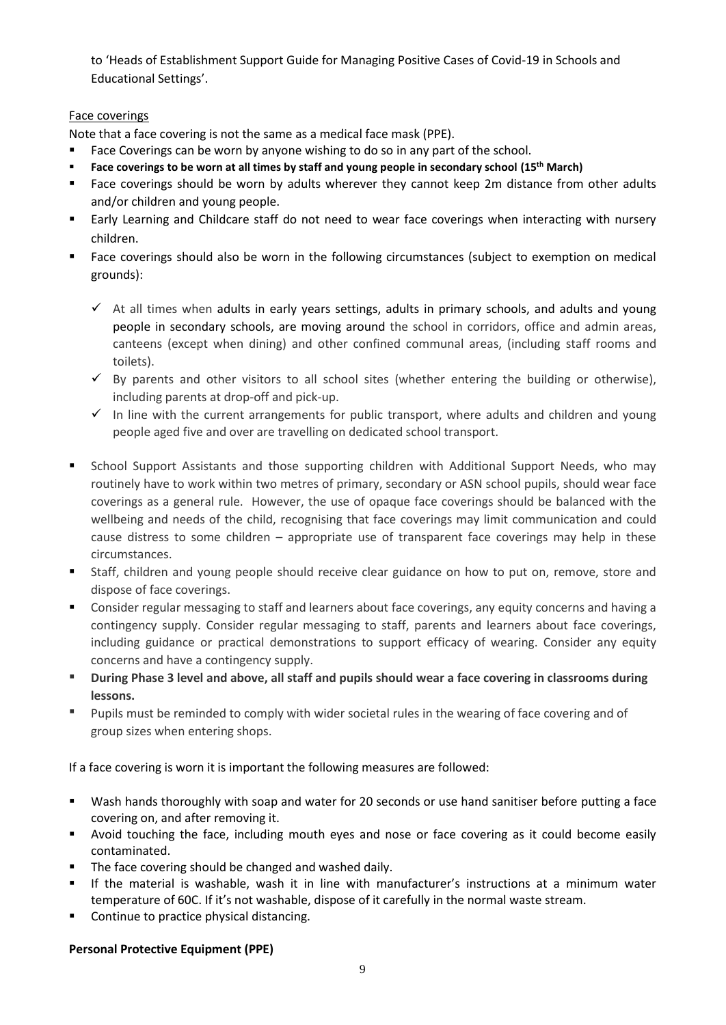to 'Heads of Establishment Support Guide for Managing Positive Cases of Covid-19 in Schools and Educational Settings'.

# Face coverings

Note that a face covering is not the same as a medical face mask (PPE).

- Face Coverings can be worn by anyone wishing to do so in any part of the school.
- **Face coverings to be worn at all times by staff and young people in secondary school (15th March)**
- Face coverings should be worn by adults wherever they cannot keep 2m distance from other adults and/or children and young people.
- Early Learning and Childcare staff do not need to wear face coverings when interacting with nursery children.
- Face coverings should also be worn in the following circumstances (subject to exemption on medical grounds):
	- $\checkmark$  At all times when adults in early years settings, adults in primary schools, and adults and young people in secondary schools, are moving around the school in corridors, office and admin areas, canteens (except when dining) and other confined communal areas, (including staff rooms and toilets).
	- $\checkmark$  By parents and other visitors to all school sites (whether entering the building or otherwise), including parents at drop-off and pick-up.
	- $\checkmark$  In line with the current arrangements for public transport, where adults and children and young people aged five and over are travelling on dedicated school transport.
- **EXTERGH Stands Support Assistants and those supporting children with Additional Support Needs, who may** routinely have to work within two metres of primary, secondary or ASN school pupils, should wear face coverings as a general rule. However, the use of opaque face coverings should be balanced with the wellbeing and needs of the child, recognising that face coverings may limit communication and could cause distress to some children – appropriate use of transparent face coverings may help in these circumstances.
- Staff, children and young people should receive clear guidance on how to put on, remove, store and dispose of face coverings.
- Consider regular messaging to staff and learners about face coverings, any equity concerns and having a contingency supply. Consider regular messaging to staff, parents and learners about face coverings, including guidance or practical demonstrations to support efficacy of wearing. Consider any equity concerns and have a contingency supply.
- **During Phase 3 level and above, all staff and pupils should wear a face covering in classrooms during lessons.**
- **Pupils must be reminded to comply with wider societal rules in the wearing of face covering and of** group sizes when entering shops.

If a face covering is worn it is important the following measures are followed:

- Wash hands thoroughly with soap and water for 20 seconds or use hand sanitiser before putting a face covering on, and after removing it.
- Avoid touching the face, including mouth eyes and nose or face covering as it could become easily contaminated.
- The face covering should be changed and washed daily.
- If the material is washable, wash it in line with manufacturer's instructions at a minimum water temperature of 60C. If it's not washable, dispose of it carefully in the normal waste stream.
- **•** Continue to practice physical distancing.

# **Personal Protective Equipment (PPE)**